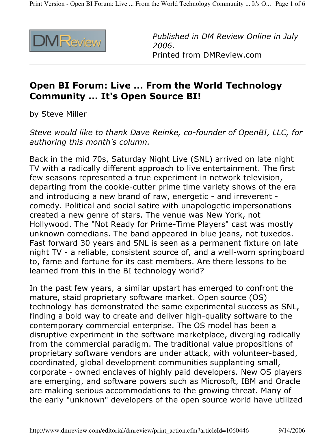

Published in DM Review Online in July 2006. Printed from DMReview.com

## Open BI Forum: Live ... From the World Technology **Community ... It's Open Source BI!**

by Steve Miller

Steve would like to thank Dave Reinke, co-founder of OpenBI, LLC, for authoring this month's column.

Back in the mid 70s, Saturday Night Live (SNL) arrived on late night TV with a radically different approach to live entertainment. The first few seasons represented a true experiment in network television, departing from the cookie-cutter prime time variety shows of the era and introducing a new brand of raw, energetic - and irreverent comedy. Political and social satire with unapologetic impersonations created a new genre of stars. The venue was New York, not Hollywood. The "Not Ready for Prime-Time Players" cast was mostly unknown comedians. The band appeared in blue jeans, not tuxedos. Fast forward 30 years and SNL is seen as a permanent fixture on late night TV - a reliable, consistent source of, and a well-worn springboard to, fame and fortune for its cast members. Are there lessons to be learned from this in the BI technology world?

In the past few years, a similar upstart has emerged to confront the mature, staid proprietary software market. Open source (OS) technology has demonstrated the same experimental success as SNL, finding a bold way to create and deliver high-quality software to the contemporary commercial enterprise. The OS model has been a disruptive experiment in the software marketplace, diverging radically from the commercial paradigm. The traditional value propositions of proprietary software vendors are under attack, with volunteer-based, coordinated, global development communities supplanting small, corporate - owned enclaves of highly paid developers. New OS players are emerging, and software powers such as Microsoft, IBM and Oracle are making serious accommodations to the growing threat. Many of the early "unknown" developers of the open source world have utilized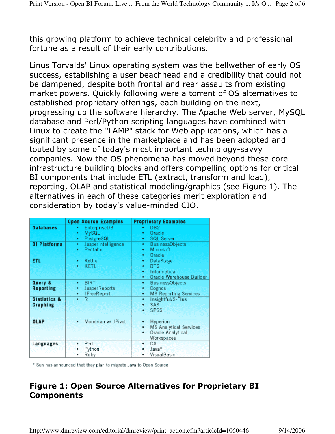this growing platform to achieve technical celebrity and professional fortune as a result of their early contributions.

Linus Torvalds' Linux operating system was the bellwether of early OS success, establishing a user beachhead and a credibility that could not be dampened, despite both frontal and rear assaults from existing market powers. Quickly following were a torrent of OS alternatives to established proprietary offerings, each building on the next, progressing up the software hierarchy. The Apache Web server, MySQL database and Perl/Python scripting languages have combined with Linux to create the "LAMP" stack for Web applications, which has a significant presence in the marketplace and has been adopted and touted by some of today's most important technology-savvy companies. Now the OS phenomena has moved beyond these core infrastructure building blocks and offers compelling options for critical BI components that include ETL (extract, transform and load), reporting, OLAP and statistical modeling/graphics (see Figure 1). The alternatives in each of these categories merit exploration and consideration by today's value-minded CIO.

|                                            | <b>Open Source Examples</b>                                | <b>Proprietary Examples</b>                                                                   |
|--------------------------------------------|------------------------------------------------------------|-----------------------------------------------------------------------------------------------|
| <b>Databases</b>                           | <b>EnterpriseDB</b><br>٠<br>MySQL<br>٠<br>PostgreSQL<br>٠  | DB <sub>2</sub><br>٠<br>Oracle<br>٠<br><b>SQL Server</b><br>٠                                 |
| <b>BI Platforms</b>                        | JasperIntelligence<br>٠<br>Pentaho<br>٠                    | <b>BusinessObjects</b><br>٠<br>Microsoft<br>٠<br>Oracle                                       |
| <b>ETL</b>                                 | Kettle<br>٠<br><b>KETL</b><br>٠                            | DataStage<br>٠<br>DTS.<br>٠<br>Informatica<br>٠<br>Oracle Warehouse Builder<br>٠              |
| Query &<br><b>Reporting</b>                | <b>BIRT</b><br>٠<br>JasperReports<br>٠<br>JFreeReport<br>٠ | BusinessObjects<br>۰<br>Cognos<br><b>MS Reporting Services</b><br>٠                           |
| <b>Statistics &amp;</b><br><b>Graphing</b> | R<br>٠                                                     | Insightful/S-Plus<br>٠<br>SAS.<br>٠<br>SPSS                                                   |
| <b>OLAP</b>                                | Mondrian w/ JPivot<br>٠                                    | Hyperion<br>٠<br><b>MS Analytical Services</b><br><b>Oracle Analytical</b><br>٠<br>Workspaces |
| Languages                                  | Perl<br>٠<br>Python<br>Ruby<br>٠                           | C#<br>٠<br>Java*<br>VisualBasic                                                               |

\* Sun has announced that they plan to migrate Java to Open Source

## Figure 1: Open Source Alternatives for Proprietary BI **Components**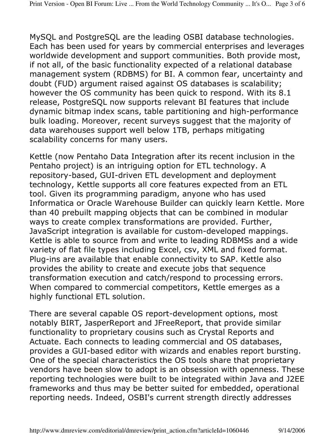MySQL and PostgreSQL are the leading OSBI database technologies. Each has been used for years by commercial enterprises and leverages worldwide development and support communities. Both provide most, if not all, of the basic functionality expected of a relational database management system (RDBMS) for BI. A common fear, uncertainty and doubt (FUD) argument raised against OS databases is scalability; however the OS community has been quick to respond. With its 8.1 release, PostgreSQL now supports relevant BI features that include dynamic bitmap index scans, table partitioning and high-performance bulk loading. Moreover, recent surveys suggest that the majority of data warehouses support well below 1TB, perhaps mitigating scalability concerns for many users.

Kettle (now Pentaho Data Integration after its recent inclusion in the Pentaho project) is an intriguing option for ETL technology. A repository-based, GUI-driven ETL development and deployment technology, Kettle supports all core features expected from an ETL tool. Given its programming paradigm, anyone who has used Informatica or Oracle Warehouse Builder can quickly learn Kettle. More than 40 prebuilt mapping objects that can be combined in modular ways to create complex transformations are provided. Further, JavaScript integration is available for custom-developed mappings. Kettle is able to source from and write to leading RDBMSs and a wide variety of flat file types including Excel, csv, XML and fixed format. Plug-ins are available that enable connectivity to SAP. Kettle also provides the ability to create and execute jobs that sequence transformation execution and catch/respond to processing errors. When compared to commercial competitors, Kettle emerges as a highly functional ETL solution.

There are several capable OS report-development options, most notably BIRT, JasperReport and JFreeReport, that provide similar functionality to proprietary cousins such as Crystal Reports and Actuate. Each connects to leading commercial and OS databases, provides a GUI-based editor with wizards and enables report bursting. One of the special characteristics the OS tools share that proprietary vendors have been slow to adopt is an obsession with openness. These reporting technologies were built to be integrated within Java and J2EE frameworks and thus may be better suited for embedded, operational reporting needs. Indeed, OSBI's current strength directly addresses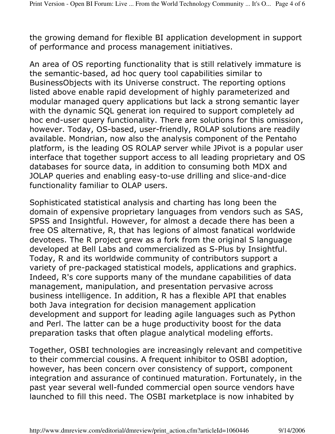the growing demand for flexible BI application development in support of performance and process management initiatives.

An area of OS reporting functionality that is still relatively immature is the semantic-based, ad hoc query tool capabilities similar to BusinessObjects with its Universe construct. The reporting options listed above enable rapid development of highly parameterized and modular managed query applications but lack a strong semantic layer with the dynamic SQL generat ion required to support completely ad hoc end-user query functionality. There are solutions for this omission, however. Today, OS-based, user-friendly, ROLAP solutions are readily available. Mondrian, now also the analysis component of the Pentaho platform, is the leading OS ROLAP server while JPivot is a popular user interface that together support access to all leading proprietary and OS databases for source data, in addition to consuming both MDX and JOLAP queries and enabling easy-to-use drilling and slice-and-dice functionality familiar to OLAP users.

Sophisticated statistical analysis and charting has long been the domain of expensive proprietary languages from vendors such as SAS, SPSS and Insightful. However, for almost a decade there has been a free OS alternative, R, that has legions of almost fanatical worldwide devotees. The R project grew as a fork from the original S language developed at Bell Labs and commercialized as S-Plus by Insightful. Today, R and its worldwide community of contributors support a variety of pre-packaged statistical models, applications and graphics. Indeed, R's core supports many of the mundane capabilities of data management, manipulation, and presentation pervasive across business intelligence. In addition, R has a flexible API that enables both Java integration for decision management application development and support for leading agile languages such as Python and Perl. The latter can be a huge productivity boost for the data preparation tasks that often plague analytical modeling efforts.

Together, OSBI technologies are increasingly relevant and competitive to their commercial cousins. A frequent inhibitor to OSBI adoption, however, has been concern over consistency of support, component integration and assurance of continued maturation. Fortunately, in the past year several well-funded commercial open source vendors have launched to fill this need. The OSBI marketplace is now inhabited by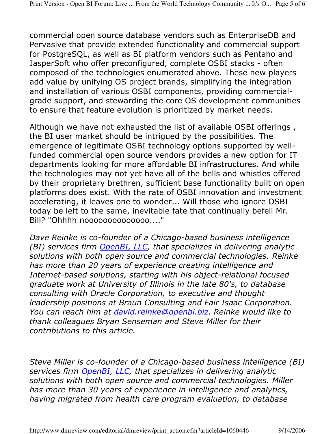commercial open source database vendors such as EnterpriseDB and Pervasive that provide extended functionality and commercial support for PostgreSQL, as well as BI platform vendors such as Pentaho and JasperSoft who offer preconfigured, complete OSBI stacks - often composed of the technologies enumerated above. These new players add value by unifying OS project brands, simplifying the integration and installation of various OSBI components, providing commercialgrade support, and stewarding the core OS development communities to ensure that feature evolution is prioritized by market needs.

Although we have not exhausted the list of available OSBI offerings, the BI user market should be intrigued by the possibilities. The emergence of legitimate OSBI technology options supported by wellfunded commercial open source vendors provides a new option for IT departments looking for more affordable BI infrastructures. And while the technologies may not yet have all of the bells and whistles offered by their proprietary brethren, sufficient base functionality built on open platforms does exist. With the rate of OSBI innovation and investment accelerating, it leaves one to wonder... Will those who ignore OSBI today be left to the same, inevitable fate that continually befell Mr. Bill? "Ohhhh nooooooooooooo...."

Dave Reinke is co-founder of a Chicago-based business intelligence (BI) services firm OpenBI, LLC, that specializes in delivering analytic solutions with both open source and commercial technologies. Reinke has more than 20 years of experience creating intelligence and Internet-based solutions, starting with his object-relational focused graduate work at University of Illinois in the late 80's, to database consulting with Oracle Corporation, to executive and thought leadership positions at Braun Consulting and Fair Isaac Corporation. You can reach him at david.reinke@openbi.biz. Reinke would like to thank colleagues Bryan Senseman and Steve Miller for their contributions to this article.

Steve Miller is co-founder of a Chicago-based business intelligence (BI) services firm OpenBI, LLC, that specializes in delivering analytic solutions with both open source and commercial technologies. Miller has more than 30 years of experience in intelligence and analytics, having migrated from health care program evaluation, to database